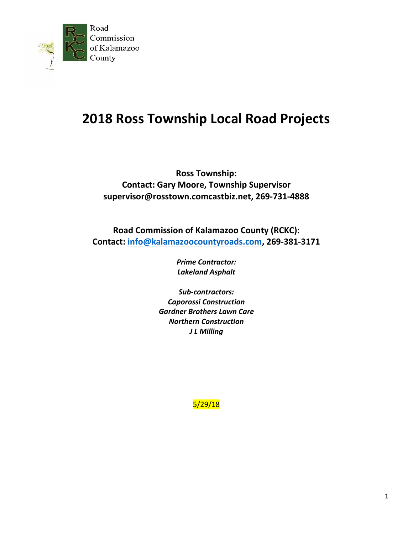

# **2018 Ross Township Local Road Projects**

**Ross Township: Contact: Gary Moore, Township Supervisor supervisor@rosstown.comcastbiz.net, 269-731-4888**

**Road Commission of Kalamazoo County (RCKC): Contact: [info@kalamazoocountyroads.com,](mailto:info@kalamazoocountyroads.com) 269-381-3171**

> *Prime Contractor: Lakeland Asphalt*

*Sub-contractors: Caporossi Construction Gardner Brothers Lawn Care Northern Construction J L Milling*

5/29/18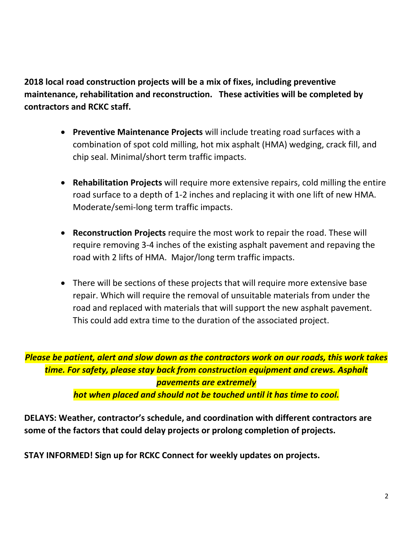**2018 local road construction projects will be a mix of fixes, including preventive maintenance, rehabilitation and reconstruction. These activities will be completed by contractors and RCKC staff.**

- **Preventive Maintenance Projects** will include treating road surfaces with a combination of spot cold milling, hot mix asphalt (HMA) wedging, crack fill, and chip seal. Minimal/short term traffic impacts.
- **Rehabilitation Projects** will require more extensive repairs, cold milling the entire road surface to a depth of 1-2 inches and replacing it with one lift of new HMA. Moderate/semi-long term traffic impacts.
- **Reconstruction Projects** require the most work to repair the road. These will require removing 3-4 inches of the existing asphalt pavement and repaving the road with 2 lifts of HMA. Major/long term traffic impacts.
- There will be sections of these projects that will require more extensive base repair. Which will require the removal of unsuitable materials from under the road and replaced with materials that will support the new asphalt pavement. This could add extra time to the duration of the associated project.

*Please be patient, alert and slow down as the contractors work on our roads, this work takes time. For safety, please stay back from construction equipment and crews. Asphalt pavements are extremely hot when placed and should not be touched until it has time to cool.*

**DELAYS: Weather, contractor's schedule, and coordination with different contractors are some of the factors that could delay projects or prolong completion of projects.**

**STAY INFORMED! Sign up for RCKC Connect for weekly updates on projects.**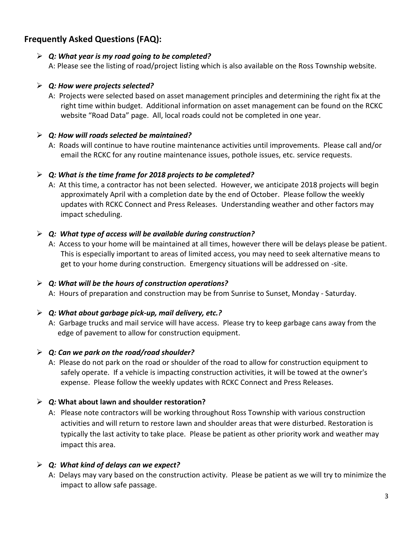# **Frequently Asked Questions (FAQ):**

# *Q: What year is my road going to be completed?*

A: Please see the listing of road/project listing which is also available on the Ross Township website.

# *Q: How were projects selected?*

A: Projects were selected based on asset management principles and determining the right fix at the right time within budget. Additional information on asset management can be found on the RCKC website "Road Data" page. All, local roads could not be completed in one year.

# *Q: How will roads selected be maintained?*

A: Roads will continue to have routine maintenance activities until improvements. Please call and/or email the RCKC for any routine maintenance issues, pothole issues, etc. service requests.

# *Q: What is the time frame for 2018 projects to be completed?*

A: At this time, a contractor has not been selected. However, we anticipate 2018 projects will begin approximately April with a completion date by the end of October. Please follow the weekly updates with RCKC Connect and Press Releases. Understanding weather and other factors may impact scheduling.

# *Q: What type of access will be available during construction?*

A: Access to your home will be maintained at all times, however there will be delays please be patient. This is especially important to areas of limited access, you may need to seek alternative means to get to your home during construction. Emergency situations will be addressed on -site.

#### *Q: What will be the hours of construction operations?*

A: Hours of preparation and construction may be from Sunrise to Sunset, Monday - Saturday.

# *Q: What about garbage pick-up, mail delivery, etc.?*

A: Garbage trucks and mail service will have access. Please try to keep garbage cans away from the edge of pavement to allow for construction equipment.

#### *Q: Can we park on the road/road shoulder?*

A: Please do not park on the road or shoulder of the road to allow for construction equipment to safely operate. If a vehicle is impacting construction activities, it will be towed at the owner's expense. Please follow the weekly updates with RCKC Connect and Press Releases.

#### *Q:* **What about lawn and shoulder restoration?**

A: Please note contractors will be working throughout Ross Township with various construction activities and will return to restore lawn and shoulder areas that were disturbed. Restoration is typically the last activity to take place. Please be patient as other priority work and weather may impact this area.

#### *Q: What kind of delays can we expect?*

A: Delays may vary based on the construction activity. Please be patient as we will try to minimize the impact to allow safe passage.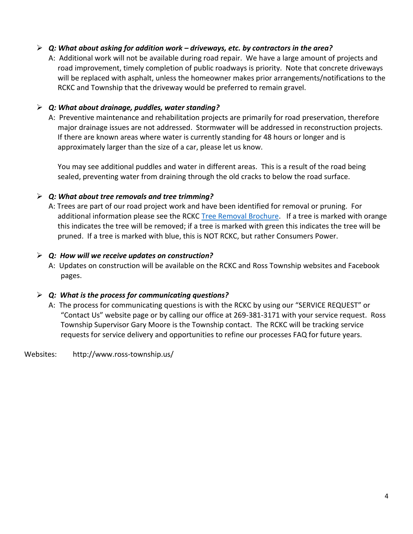# *Q: What about asking for addition work – driveways, etc. by contractors in the area?*

A: Additional work will not be available during road repair. We have a large amount of projects and road improvement, timely completion of public roadways is priority. Note that concrete driveways will be replaced with asphalt, unless the homeowner makes prior arrangements/notifications to the RCKC and Township that the driveway would be preferred to remain gravel.

#### *Q: What about drainage, puddles, water standing?*

A: Preventive maintenance and rehabilitation projects are primarily for road preservation, therefore major drainage issues are not addressed. Stormwater will be addressed in reconstruction projects. If there are known areas where water is currently standing for 48 hours or longer and is approximately larger than the size of a car, please let us know.

You may see additional puddles and water in different areas. This is a result of the road being sealed, preventing water from draining through the old cracks to below the road surface.

# *Q: What about tree removals and tree trimming?*

A: Trees are part of our road project work and have been identified for removal or pruning. For additional information please see the RCKC [Tree Removal Brochure.](http://www.kalamazoocountyroads.com/userfiles/kcrc/file/Maintenance/2015%20Tree%20Removal%20Brochure.pdf) If a tree is marked with orange this indicates the tree will be removed; if a tree is marked with green this indicates the tree will be pruned. If a tree is marked with blue, this is NOT RCKC, but rather Consumers Power.

# *Q: How will we receive updates on construction?*

A: Updates on construction will be available on the RCKC and Ross Township websites and Facebook pages.

# *Q: What is the process for communicating questions?*

A: The process for communicating questions is with the RCKC by using our "SERVICE REQUEST" or "Contact Us" website page or by calling our office at 269-381-3171 with your service request. Ross Township Supervisor Gary Moore is the Township contact. The RCKC will be tracking service requests for service delivery and opportunities to refine our processes FAQ for future years.

Websites: http://www.ross-township.us/